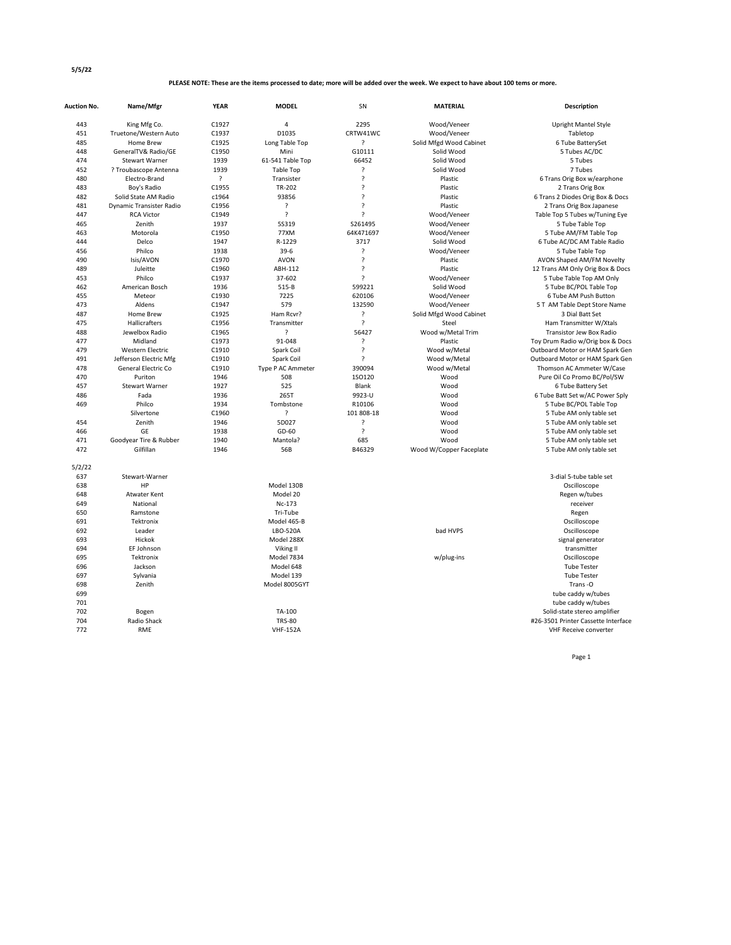## **PLEASE NOTE: These are the items processed to date; more will be added over the week. We expect to have about 100 tems or more.**

| <b>Auction No.</b> | Name/Mfgr                | <b>YEAR</b> | <b>MODEL</b>       | <b>SN</b>               | <b>MATERIAL</b>         | Description                         |
|--------------------|--------------------------|-------------|--------------------|-------------------------|-------------------------|-------------------------------------|
| 443                | King Mfg Co.             | C1927       | 4                  | 2295                    | Wood/Veneer             | <b>Upright Mantel Style</b>         |
| 451                | Truetone/Western Auto    | C1937       | D1035              | CRTW41WC                | Wood/Veneer             | Tabletop                            |
| 485                | Home Brew                | C1925       | Long Table Top     | ?                       | Solid Mfgd Wood Cabinet | 6 Tube BatterySet                   |
| 448                | GeneralTV& Radio/GE      | C1950       | Mini               | G10111                  | Solid Wood              | 5 Tubes AC/DC                       |
| 474                | <b>Stewart Warner</b>    | 1939        | 61-541 Table Top   | 66452                   | Solid Wood              | 5 Tubes                             |
| 452                | ? Troubascope Antenna    | 1939        | <b>Table Top</b>   | ?                       | Solid Wood              | 7 Tubes                             |
| 480                | Electro-Brand            | S.          | Transister         | $\overline{\mathbf{?}}$ | Plastic                 | 6 Trans Orig Box w/earphone         |
| 483                | Boy's Radio              | C1955       | TR-202             | $\overline{?}$          | Plastic                 | 2 Trans Orig Box                    |
| 482                | Solid State AM Radio     | c1964       | 93856              | $\overline{\mathbf{?}}$ | Plastic                 | 6 Trans 2 Diodes Orig Box & Docs    |
| 481                | Dynamic Transister Radio | C1956       | ?                  | $\overline{\mathbf{?}}$ | Plastic                 | 2 Trans Orig Box Japanese           |
| 447                | <b>RCA Victor</b>        | C1949       | $\overline{\cdot}$ | S.                      | Wood/Veneer             | Table Top 5 Tubes w/Tuning Eye      |
| 465                | Zenith                   | 1937        | 55319              | S261495                 | Wood/Veneer             | 5 Tube Table Top                    |
| 463                | Motorola                 | C1950       | 77XM               | 64K471697               | Wood/Veneer             | 5 Tube AM/FM Table Top              |
| 444                | Delco                    | 1947        | R-1229             | 3717                    | Solid Wood              | 6 Tube AC/DC AM Table Radio         |
| 456                | Philco                   | 1938        | $39-6$             | ?                       | Wood/Veneer             | 5 Tube Table Top                    |
| 490                | Isis/AVON                | C1970       | <b>AVON</b>        | ?                       | Plastic                 | AVON Shaped AM/FM Novelty           |
| 489                | Juleitte                 | C1960       | ABH-112            | $\overline{\cdot}$      | Plastic                 | 12 Trans AM Only Orig Box & Docs    |
| 453                | Philco                   | C1937       | 37-602             | ?                       | Wood/Veneer             | 5 Tube Table Top AM Only            |
| 462                | American Bosch           | 1936        | $515 - B$          | 599221                  | Solid Wood              | 5 Tube BC/POL Table Top             |
| 455                | Meteor                   | C1930       | 7225               | 620106                  | Wood/Veneer             | 6 Tube AM Push Button               |
| 473                | Aldens                   | C1947       | 579                | 132590                  | Wood/Veneer             | 5 T AM Table Dept Store Name        |
| 487                | Home Brew                | C1925       | Ham Rcvr?          | ?                       | Solid Mfgd Wood Cabinet | 3 Dial Batt Set                     |
| 475                | Hallicrafters            | C1956       | Transmitter        | ?                       | Steel                   | Ham Transmitter W/Xtals             |
| 488                | Jewelbox Radio           | C1965       | $\overline{?}$     | 56427                   | Wood w/Metal Trim       | Transistor Jew Box Radio            |
| 477                | Midland                  | C1973       | 91-048             | $\overline{?}$          | Plastic                 | Toy Drum Radio w/Orig box & Docs    |
| 479                | <b>Western Electric</b>  | C1910       | Spark Coil         | $\overline{\cdot}$      | Wood w/Metal            | Outboard Motor or HAM Spark Gen     |
| 491                | Jefferson Electric Mfg   | C1910       | Spark Coil         | $\overline{\cdot}$      | Wood w/Metal            | Outboard Motor or HAM Spark Gen     |
| 478                | General Electric Co      | C1910       | Type P AC Ammeter  | 390094                  | Wood w/Metal            | Thomson AC Ammeter W/Case           |
| 470                | Puriton                  | 1946        | 508                | <b>1SO120</b>           | Wood                    | Pure Oil Co Promo BC/Pol/SW         |
| 457                | <b>Stewart Warner</b>    | 1927        | 525                | Blank                   | Wood                    | 6 Tube Battery Set                  |
| 486                | Fada                     | 1936        | 265T               | 9923-U                  | Wood                    | 6 Tube Batt Set w/AC Power Sply     |
| 469                | Philco                   | 1934        | Tombstone          | R10106                  | Wood                    | 5 Tube BC/POL Table Top             |
|                    | Silvertone               | C1960       | $\overline{?}$     | 101 808-18              | Wood                    | 5 Tube AM only table set            |
| 454                | Zenith                   | 1946        | 5D027              | ?                       | Wood                    | 5 Tube AM only table set            |
| 466                | GE                       | 1938        | GD-60              | $\overline{?}$          | Wood                    | 5 Tube AM only table set            |
| 471                | Goodyear Tire & Rubber   | 1940        | Mantola?           | 685                     | Wood                    | 5 Tube AM only table set            |
| 472                | Gilfillan                | 1946        | 56B                | B46329                  | Wood W/Copper Faceplate | 5 Tube AM only table set            |
| 5/2/22             |                          |             |                    |                         |                         |                                     |
| 637                | Stewart-Warner           |             |                    |                         |                         | 3-dial 5-tube table set             |
| 638                | HP                       |             | Model 130B         |                         |                         | Oscilloscope                        |
| 648                | <b>Atwater Kent</b>      |             | Model 20           |                         |                         | Regen w/tubes                       |
| 649                | National                 |             | Nc-173             |                         |                         | receiver                            |
| 650                | Ramstone                 |             | Tri-Tube           |                         |                         | Regen                               |
| 691                | Tektronix                |             | Model 465-B        |                         |                         | Oscilloscope                        |
| 692                | Leader                   |             | LBO-520A           |                         | bad HVPS                | Oscilloscope                        |
| 693                | Hickok                   |             | Model 288X         |                         |                         | signal generator                    |
| 694                | EF Johnson               |             | Viking II          |                         |                         | transmitter                         |
| 695                | Tektronix                |             | Model 7834         |                         | w/plug-ins              | Oscilloscope                        |
| 696                | Jackson                  |             | Model 648          |                         |                         | <b>Tube Tester</b>                  |
| 697                | Sylvania                 |             | Model 139          |                         |                         | <b>Tube Tester</b>                  |
| 698                | Zenith                   |             | Model 8005GYT      |                         |                         | Trans-O                             |
| 699                |                          |             |                    |                         |                         | tube caddy w/tubes                  |
| 701                |                          |             |                    |                         |                         | tube caddy w/tubes                  |
| 702                | Bogen                    |             | TA-100             |                         |                         | Solid-state stereo amplifier        |
| 704                | Radio Shack              |             | <b>TRS-80</b>      |                         |                         | #26-3501 Printer Cassette Interface |
| 772                | <b>RME</b>               |             | <b>VHF-152A</b>    |                         |                         | <b>VHF Receive converter</b>        |

Page 1